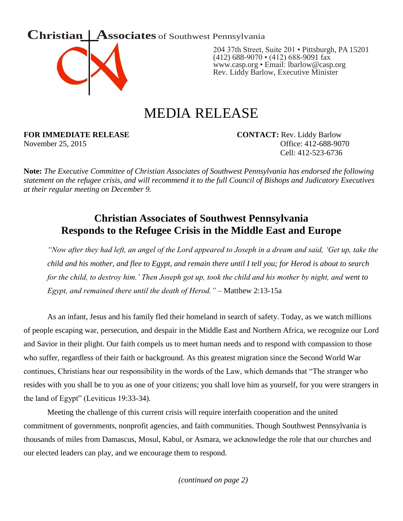



204 37th Street, Suite 201 • Pittsburgh, PA 15201  $(412)$  688-9070 • (412) 688-9091 fax [www.casp.org](http://www.casp.org/) • Email: lbarlow@casp.org Rev. Liddy Barlow, Executive Minister

## MEDIA RELEASE

**FOR IMMEDIATE RELEASE CONTACT:** Rev. Liddy Barlow

November 25, 2015 **Office: 412-688-9070** Cell: 412-523-6736

**Note:** *The Executive Committee of Christian Associates of Southwest Pennsylvania has endorsed the following statement on the refugee crisis, and will recommend it to the full Council of Bishops and Judicatory Executives at their regular meeting on December 9.*

## **Christian Associates of Southwest Pennsylvania Responds to the Refugee Crisis in the Middle East and Europe**

*"Now after they had left, an angel of the Lord appeared to Joseph in a dream and said, 'Get up, take the child and his mother, and flee to Egypt, and remain there until I tell you; for Herod is about to search for the child, to destroy him.' Then Joseph got up, took the child and his mother by night, and went to Egypt, and remained there until the death of Herod."* – Matthew 2:13-15a

As an infant, Jesus and his family fled their homeland in search of safety. Today, as we watch millions of people escaping war, persecution, and despair in the Middle East and Northern Africa, we recognize our Lord and Savior in their plight. Our faith compels us to meet human needs and to respond with compassion to those who suffer, regardless of their faith or background. As this greatest migration since the Second World War continues, Christians hear our responsibility in the words of the Law, which demands that "The stranger who resides with you shall be to you as one of your citizens; you shall love him as yourself, for you were strangers in the land of Egypt" (Leviticus 19:33-34).

Meeting the challenge of this current crisis will require interfaith cooperation and the united commitment of governments, nonprofit agencies, and faith communities. Though Southwest Pennsylvania is thousands of miles from Damascus, Mosul, Kabul, or Asmara, we acknowledge the role that our churches and our elected leaders can play, and we encourage them to respond.

*(continued on page 2)*